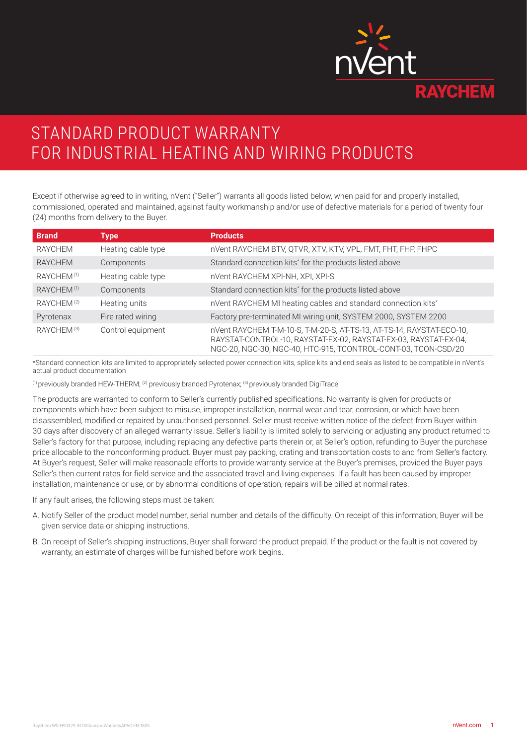

# STANDARD PRODUCT WARRANTY FOR INDUSTRIAL HEATING AND WIRING PRODUCTS

Except if otherwise agreed to in writing, nVent ("Seller") warrants all goods listed below, when paid for and properly installed, commissioned, operated and maintained, against faulty workmanship and/or use of defective materials for a period of twenty four (24) months from delivery to the Buyer.

| <b>Brand</b>           | <b>Type</b>        | <b>Products</b>                                                                                                                                                                                             |
|------------------------|--------------------|-------------------------------------------------------------------------------------------------------------------------------------------------------------------------------------------------------------|
| RAYCHEM                | Heating cable type | nVent RAYCHEM BTV, QTVR, XTV, KTV, VPL, FMT, FHT, FHP, FHPC                                                                                                                                                 |
| RAYCHEM                | Components         | Standard connection kits <sup>*</sup> for the products listed above                                                                                                                                         |
| RAYCHEM <sup>(1)</sup> | Heating cable type | nVent RAYCHEM XPI-NH, XPI, XPI-S                                                                                                                                                                            |
| RAYCHEM <sup>(1)</sup> | Components         | Standard connection kits <sup>*</sup> for the products listed above                                                                                                                                         |
| RAYCHEM <sup>(2)</sup> | Heating units      | nVent RAYCHEM MI heating cables and standard connection kits*                                                                                                                                               |
| Pyrotenax              | Fire rated wiring  | Factory pre-terminated MI wiring unit, SYSTEM 2000, SYSTEM 2200                                                                                                                                             |
| RAYCHEM <sup>(3)</sup> | Control equipment  | nVent RAYCHEM T-M-10-S, T-M-20-S, AT-TS-13, AT-TS-14, RAYSTAT-ECO-10,<br>RAYSTAT-CONTROL-10, RAYSTAT-EX-02, RAYSTAT-EX-03, RAYSTAT-EX-04,<br>NGC-20, NGC-30, NGC-40, HTC-915, TCONTROL-CONT-03, TCON-CSD/20 |

\*Standard connection kits are limited to appropriately selected power connection kits, splice kits and end seals as listed to be compatible in nVent's actual product documentation

(1) previously branded HEW-THERM; (2) previously branded Pyrotenax; (3) previously branded DigiTrace

The products are warranted to conform to Seller's currently published specifications. No warranty is given for products or components which have been subject to misuse, improper installation, normal wear and tear, corrosion, or which have been disassembled, modified or repaired by unauthorised personnel. Seller must receive written notice of the defect from Buyer within 30 days after discovery of an alleged warranty issue. Seller's liability is limited solely to servicing or adjusting any product returned to Seller's factory for that purpose, including replacing any defective parts therein or, at Seller's option, refunding to Buyer the purchase price allocable to the nonconforming product. Buyer must pay packing, crating and transportation costs to and from Seller's factory. At Buyer's request, Seller will make reasonable efforts to provide warranty service at the Buyer's premises, provided the Buyer pays Seller's then current rates for field service and the associated travel and living expenses. If a fault has been caused by improper installation, maintenance or use, or by abnormal conditions of operation, repairs will be billed at normal rates.

If any fault arises, the following steps must be taken:

- A. Notify Seller of the product model number, serial number and details of the difficulty. On receipt of this information, Buyer will be given service data or shipping instructions.
- B. On receipt of Seller's shipping instructions, Buyer shall forward the product prepaid. If the product or the fault is not covered by warranty, an estimate of charges will be furnished before work begins.